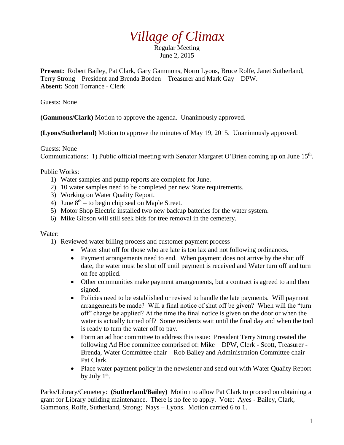## *Village of Climax*

Regular Meeting June 2, 2015

**Present:** Robert Bailey, Pat Clark, Gary Gammons, Norm Lyons, Bruce Rolfe, Janet Sutherland, Terry Strong – President and Brenda Borden – Treasurer and Mark Gay – DPW. **Absent:** Scott Torrance - Clerk

Guests: None

**(Gammons/Clark)** Motion to approve the agenda. Unanimously approved.

**(Lyons/Sutherland)** Motion to approve the minutes of May 19, 2015. Unanimously approved.

Guests: None Communications: 1) Public official meeting with Senator Margaret O'Brien coming up on June 15<sup>th</sup>.

Public Works:

- 1) Water samples and pump reports are complete for June.
- 2) 10 water samples need to be completed per new State requirements.
- 3) Working on Water Quality Report.
- 4) June  $8<sup>th</sup> -$  to begin chip seal on Maple Street.
- 5) Motor Shop Electric installed two new backup batteries for the water system.
- 6) Mike Gibson will still seek bids for tree removal in the cemetery.

## Water:

- 1) Reviewed water billing process and customer payment process
	- Water shut off for those who are late is too lax and not following ordinances.
	- Payment arrangements need to end. When payment does not arrive by the shut off date, the water must be shut off until payment is received and Water turn off and turn on fee applied.
	- Other communities make payment arrangements, but a contract is agreed to and then signed.
	- Policies need to be established or revised to handle the late payments. Will payment arrangements be made? Will a final notice of shut off be given? When will the "turn off" charge be applied? At the time the final notice is given on the door or when the water is actually turned off? Some residents wait until the final day and when the tool is ready to turn the water off to pay.
	- Form an ad hoc committee to address this issue: President Terry Strong created the following Ad Hoc committee comprised of: Mike – DPW, Clerk - Scott, Treasurer - Brenda, Water Committee chair – Rob Bailey and Administration Committee chair – Pat Clark.
	- Place water payment policy in the newsletter and send out with Water Quality Report by July  $1<sup>st</sup>$ .

Parks/Library/Cemetery: **(Sutherland/Bailey)** Motion to allow Pat Clark to proceed on obtaining a grant for Library building maintenance. There is no fee to apply. Vote: Ayes - Bailey, Clark, Gammons, Rolfe, Sutherland, Strong; Nays – Lyons. Motion carried 6 to 1.